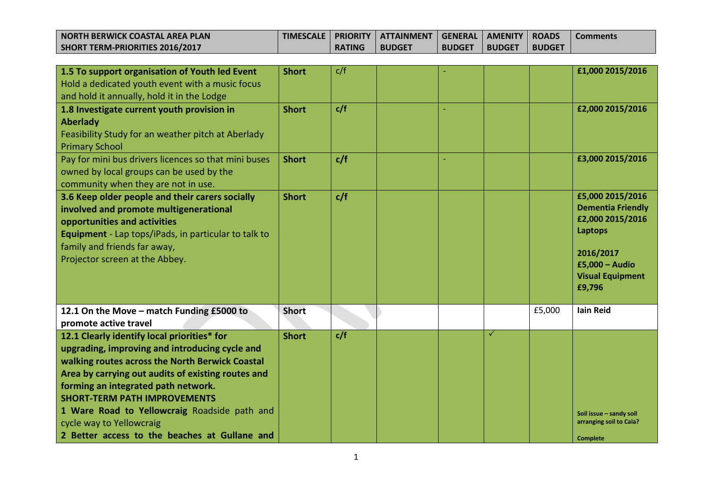| I NORTH BERWICK COASTAL AREA PLAN | <b>TIMESCALE</b> |               | PRIORITY   ATTAINMENT   GENERAL   AMENITY   ROADS |               |          |               | <b>Comments</b> |
|-----------------------------------|------------------|---------------|---------------------------------------------------|---------------|----------|---------------|-----------------|
| SHORT TERM-PRIORITIES 2016/2017   |                  | <b>RATING</b> | <b>BUDGET</b>                                     | <b>BUDGET</b> | l BUDGET | <b>BUDGET</b> |                 |

| 1.5 To support organisation of Youth led Event<br>Hold a dedicated youth event with a music focus<br>and hold it annually, hold it in the Lodge                                                                                                                                                                                                                                                                   | <b>Short</b> | c/f |  |              |        | £1,000 2015/2016                                                                                                                                  |
|-------------------------------------------------------------------------------------------------------------------------------------------------------------------------------------------------------------------------------------------------------------------------------------------------------------------------------------------------------------------------------------------------------------------|--------------|-----|--|--------------|--------|---------------------------------------------------------------------------------------------------------------------------------------------------|
| 1.8 Investigate current youth provision in<br><b>Aberlady</b><br>Feasibility Study for an weather pitch at Aberlady<br><b>Primary School</b>                                                                                                                                                                                                                                                                      | <b>Short</b> | c/f |  |              |        | £2,000 2015/2016                                                                                                                                  |
| Pay for mini bus drivers licences so that mini buses<br>owned by local groups can be used by the<br>community when they are not in use.                                                                                                                                                                                                                                                                           | <b>Short</b> | c/f |  |              |        | £3,000 2015/2016                                                                                                                                  |
| 3.6 Keep older people and their carers socially<br>involved and promote multigenerational<br>opportunities and activities<br>Equipment - Lap tops/iPads, in particular to talk to<br>family and friends far away,<br>Projector screen at the Abbey.                                                                                                                                                               | <b>Short</b> | c/f |  |              |        | £5,000 2015/2016<br><b>Dementia Friendly</b><br>£2,000 2015/2016<br>Laptops<br>2016/2017<br>$£5,000 - Audio$<br><b>Visual Equipment</b><br>£9,796 |
| 12.1 On the Move - match Funding £5000 to<br>promote active travel                                                                                                                                                                                                                                                                                                                                                | <b>Short</b> |     |  |              | £5,000 | <b>lain Reid</b>                                                                                                                                  |
| 12.1 Clearly identify local priorities* for<br>upgrading, improving and introducing cycle and<br>walking routes across the North Berwick Coastal<br>Area by carrying out audits of existing routes and<br>forming an integrated path network.<br><b>SHORT-TERM PATH IMPROVEMENTS</b><br>1 Ware Road to Yellowcraig Roadside path and<br>cycle way to Yellowcraig<br>2 Better access to the beaches at Gullane and | <b>Short</b> | c/f |  | $\checkmark$ |        | Soil issue - sandy soil<br>arranging soil to Cala?<br><b>Complete</b>                                                                             |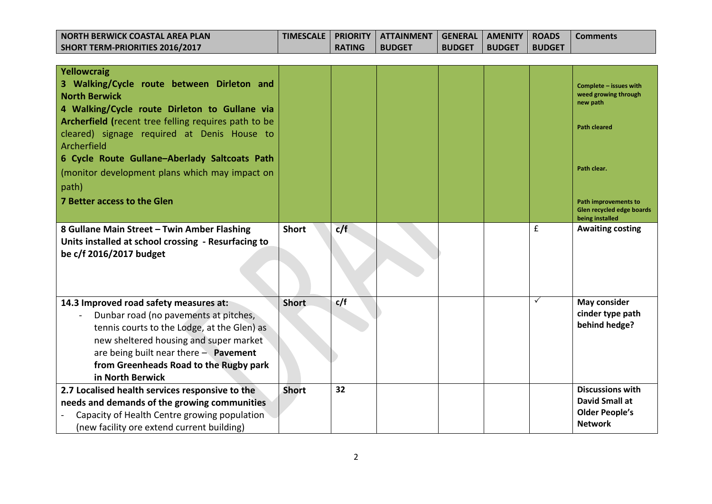| <b>NORTH BERWICK COASTAL AREA PLAN</b><br><b>SHORT TERM-PRIORITIES 2016/2017</b>                                                                                                                                                                                                  | <b>TIMESCALE</b> | <b>PRIORITY</b><br><b>RATING</b> | <b>ATTAINMENT</b><br><b>BUDGET</b> | <b>GENERAL</b><br><b>BUDGET</b> | <b>AMENITY</b><br><b>BUDGET</b> | <b>ROADS</b><br><b>BUDGET</b> | <b>Comments</b>                                                                      |
|-----------------------------------------------------------------------------------------------------------------------------------------------------------------------------------------------------------------------------------------------------------------------------------|------------------|----------------------------------|------------------------------------|---------------------------------|---------------------------------|-------------------------------|--------------------------------------------------------------------------------------|
|                                                                                                                                                                                                                                                                                   |                  |                                  |                                    |                                 |                                 |                               |                                                                                      |
| Yellowcraig<br>3 Walking/Cycle route between Dirleton and<br><b>North Berwick</b>                                                                                                                                                                                                 |                  |                                  |                                    |                                 |                                 |                               | Complete - issues with<br>weed growing through<br>new path                           |
| 4 Walking/Cycle route Dirleton to Gullane via<br>Archerfield (recent tree felling requires path to be<br>cleared) signage required at Denis House to                                                                                                                              |                  |                                  |                                    |                                 |                                 |                               | <b>Path cleared</b>                                                                  |
| Archerfield                                                                                                                                                                                                                                                                       |                  |                                  |                                    |                                 |                                 |                               |                                                                                      |
| 6 Cycle Route Gullane-Aberlady Saltcoats Path<br>(monitor development plans which may impact on                                                                                                                                                                                   |                  |                                  |                                    |                                 |                                 |                               | Path clear.                                                                          |
| path)                                                                                                                                                                                                                                                                             |                  |                                  |                                    |                                 |                                 |                               |                                                                                      |
| 7 Better access to the Glen                                                                                                                                                                                                                                                       |                  |                                  |                                    |                                 |                                 |                               | <b>Path improvements to</b><br>Glen recycled edge boards<br>being installed          |
| 8 Gullane Main Street - Twin Amber Flashing<br>Units installed at school crossing - Resurfacing to<br>be c/f 2016/2017 budget                                                                                                                                                     | <b>Short</b>     | c/f                              |                                    |                                 |                                 | £                             | <b>Awaiting costing</b>                                                              |
| 14.3 Improved road safety measures at:<br>Dunbar road (no pavements at pitches,<br>tennis courts to the Lodge, at the Glen) as<br>new sheltered housing and super market<br>are being built near there $-$ Pavement<br>from Greenheads Road to the Rugby park<br>in North Berwick | <b>Short</b>     | c/f                              |                                    |                                 |                                 | $\checkmark$                  | <b>May consider</b><br>cinder type path<br>behind hedge?                             |
| 2.7 Localised health services responsive to the<br>needs and demands of the growing communities<br>Capacity of Health Centre growing population<br>(new facility ore extend current building)                                                                                     | <b>Short</b>     | 32                               |                                    |                                 |                                 |                               | <b>Discussions with</b><br>David Small at<br><b>Older People's</b><br><b>Network</b> |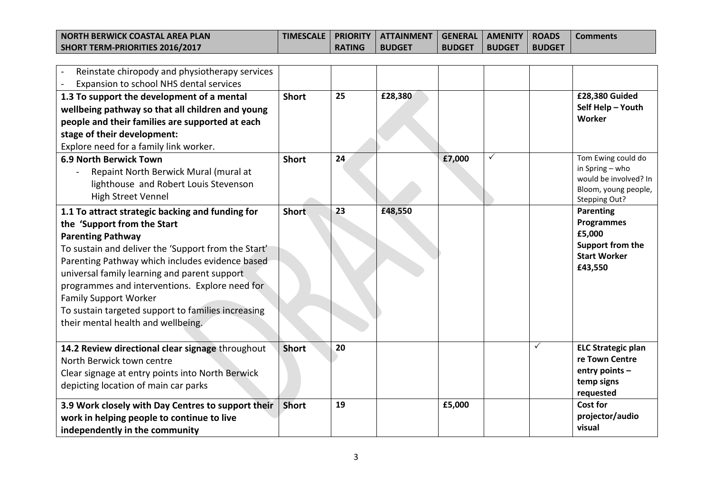| I NORTH BERWICK COASTAL AREA PLAN | <b>TIMESCALE</b> |               | PRIORITY   ATTAINMENT   GENERAL   AMENITY   ROADS |               |               |               | <b>Comments</b> |
|-----------------------------------|------------------|---------------|---------------------------------------------------|---------------|---------------|---------------|-----------------|
| SHORT TERM-PRIORITIES 2016/2017   |                  | <b>RATING</b> | <b>BUDGET</b>                                     | <b>BUDGET</b> | <b>BUDGET</b> | <b>BUDGET</b> |                 |

| Reinstate chiropody and physiotherapy services<br>Expansion to school NHS dental services                                                                                                                                                                                                                                                                                                                                                           |              |    |         |        |   |              |                                                                                                         |
|-----------------------------------------------------------------------------------------------------------------------------------------------------------------------------------------------------------------------------------------------------------------------------------------------------------------------------------------------------------------------------------------------------------------------------------------------------|--------------|----|---------|--------|---|--------------|---------------------------------------------------------------------------------------------------------|
| 1.3 To support the development of a mental<br>wellbeing pathway so that all children and young<br>people and their families are supported at each<br>stage of their development:<br>Explore need for a family link worker.                                                                                                                                                                                                                          | <b>Short</b> | 25 | £28,380 |        |   |              | £28,380 Guided<br>Self Help - Youth<br>Worker                                                           |
| <b>6.9 North Berwick Town</b><br>Repaint North Berwick Mural (mural at<br>lighthouse and Robert Louis Stevenson<br><b>High Street Vennel</b>                                                                                                                                                                                                                                                                                                        | <b>Short</b> | 24 |         | £7,000 | ✓ |              | Tom Ewing could do<br>in Spring - who<br>would be involved? In<br>Bloom, young people,<br>Stepping Out? |
| 1.1 To attract strategic backing and funding for<br>the 'Support from the Start<br><b>Parenting Pathway</b><br>To sustain and deliver the 'Support from the Start'<br>Parenting Pathway which includes evidence based<br>universal family learning and parent support<br>programmes and interventions. Explore need for<br><b>Family Support Worker</b><br>To sustain targeted support to families increasing<br>their mental health and wellbeing. | <b>Short</b> | 23 | £48,550 |        |   |              | Parenting<br><b>Programmes</b><br>£5,000<br>Support from the<br><b>Start Worker</b><br>£43,550          |
| 14.2 Review directional clear signage throughout<br>North Berwick town centre<br>Clear signage at entry points into North Berwick<br>depicting location of main car parks                                                                                                                                                                                                                                                                           | <b>Short</b> | 20 |         |        |   | $\checkmark$ | <b>ELC Strategic plan</b><br>re Town Centre<br>entry points -<br>temp signs<br>requested                |
| 3.9 Work closely with Day Centres to support their<br>work in helping people to continue to live<br>independently in the community                                                                                                                                                                                                                                                                                                                  | <b>Short</b> | 19 |         | £5,000 |   |              | <b>Cost for</b><br>projector/audio<br>visual                                                            |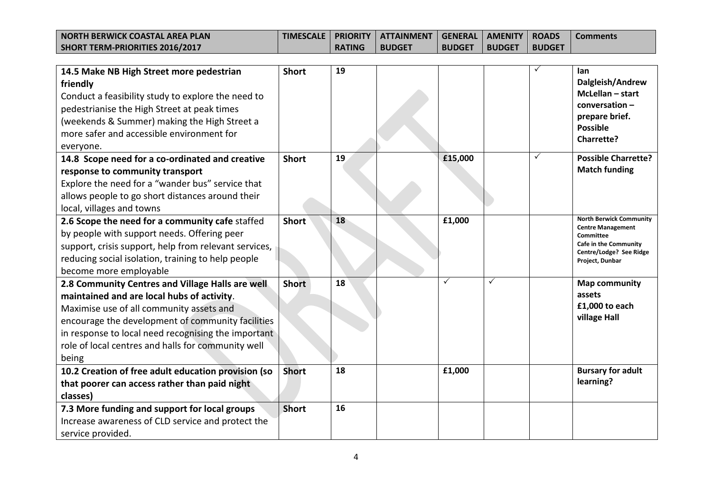| <b>NORTH BERWICK COASTAL AREA PLAN</b> |               | ' TIMESCALE   PRIORITY   ATTAINMENT   GENERAL   AMENITY   ROADS \ |               |               |               | l Comments |
|----------------------------------------|---------------|-------------------------------------------------------------------|---------------|---------------|---------------|------------|
| SHORT TERM-PRIORITIES 2016/2017        | <b>RATING</b> | <b>I BUDGET</b>                                                   | <b>BUDGET</b> | <b>BUDGET</b> | <b>BUDGET</b> |            |

| 14.5 Make NB High Street more pedestrian<br>friendly<br>Conduct a feasibility study to explore the need to<br>pedestrianise the High Street at peak times<br>(weekends & Summer) making the High Street a<br>more safer and accessible environment for<br>everyone.                                                   | <b>Short</b> | 19 |              |   | lan<br>Dalgleish/Andrew<br>$McLellan - start$<br>$conversion -$<br>prepare brief.<br><b>Possible</b><br><b>Charrette?</b>                      |
|-----------------------------------------------------------------------------------------------------------------------------------------------------------------------------------------------------------------------------------------------------------------------------------------------------------------------|--------------|----|--------------|---|------------------------------------------------------------------------------------------------------------------------------------------------|
| 14.8 Scope need for a co-ordinated and creative<br>response to community transport<br>Explore the need for a "wander bus" service that<br>allows people to go short distances around their<br>local, villages and towns                                                                                               | <b>Short</b> | 19 | £15,000      | ✓ | <b>Possible Charrette?</b><br><b>Match funding</b>                                                                                             |
| 2.6 Scope the need for a community cafe staffed<br>by people with support needs. Offering peer<br>support, crisis support, help from relevant services,<br>reducing social isolation, training to help people<br>become more employable                                                                               | <b>Short</b> | 18 | £1,000       |   | <b>North Berwick Community</b><br><b>Centre Management</b><br>Committee<br>Cafe in the Community<br>Centre/Lodge? See Ridge<br>Project, Dunbar |
| 2.8 Community Centres and Village Halls are well<br>maintained and are local hubs of activity.<br>Maximise use of all community assets and<br>encourage the development of community facilities<br>in response to local need recognising the important<br>role of local centres and halls for community well<br>being | <b>Short</b> | 18 | $\checkmark$ | ✓ | <b>Map community</b><br>assets<br>£1,000 to each<br>village Hall                                                                               |
| 10.2 Creation of free adult education provision (so<br>that poorer can access rather than paid night<br>classes)                                                                                                                                                                                                      | <b>Short</b> | 18 | £1,000       |   | <b>Bursary for adult</b><br>learning?                                                                                                          |
| 7.3 More funding and support for local groups<br>Increase awareness of CLD service and protect the<br>service provided.                                                                                                                                                                                               | <b>Short</b> | 16 |              |   |                                                                                                                                                |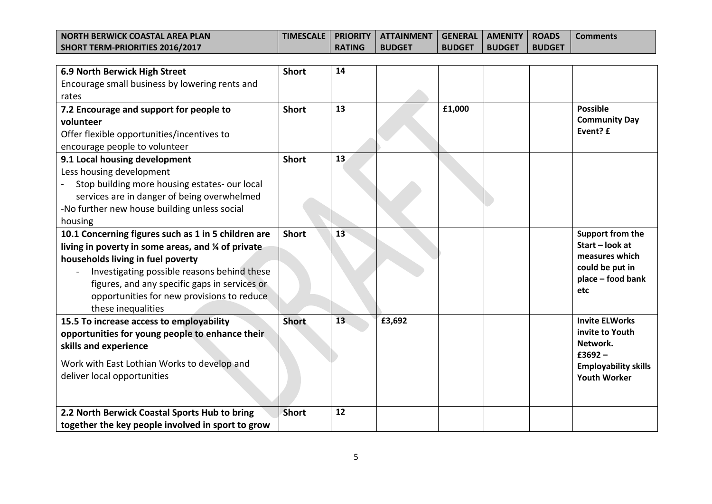| I NORTH BERWICK COASTAL AREA PLAN | <b>TIMESCALE</b> |               | PRIORITY   ATTAINMENT   GENERAL   AMENITY   ROADS |               |               |               | <b>Comments</b> |
|-----------------------------------|------------------|---------------|---------------------------------------------------|---------------|---------------|---------------|-----------------|
| SHORT TERM-PRIORITIES 2016/2017   |                  | <b>RATING</b> | <b>BUDGET</b>                                     | <b>BUDGET</b> | <b>BUDGET</b> | <b>BUDGET</b> |                 |

| 6.9 North Berwick High Street                       | <b>Short</b> | 14 |        |        |                                   |
|-----------------------------------------------------|--------------|----|--------|--------|-----------------------------------|
| Encourage small business by lowering rents and      |              |    |        |        |                                   |
| rates                                               |              |    |        |        |                                   |
| 7.2 Encourage and support for people to             | <b>Short</b> | 13 |        | £1,000 | <b>Possible</b>                   |
| volunteer                                           |              |    |        |        | <b>Community Day</b>              |
| Offer flexible opportunities/incentives to          |              |    |        |        | Event? £                          |
| encourage people to volunteer                       |              |    |        |        |                                   |
| 9.1 Local housing development                       | <b>Short</b> | 13 |        |        |                                   |
| Less housing development                            |              |    |        |        |                                   |
| Stop building more housing estates- our local       |              |    |        |        |                                   |
| services are in danger of being overwhelmed         |              |    |        |        |                                   |
| -No further new house building unless social        |              |    |        |        |                                   |
| housing                                             |              |    |        |        |                                   |
| 10.1 Concerning figures such as 1 in 5 children are | <b>Short</b> | 13 |        |        | Support from the                  |
| living in poverty in some areas, and % of private   |              |    |        |        | Start - look at<br>measures which |
| households living in fuel poverty                   |              |    |        |        | could be put in                   |
| Investigating possible reasons behind these         |              |    |        |        | place - food bank                 |
| figures, and any specific gaps in services or       |              |    |        |        | etc                               |
| opportunities for new provisions to reduce          |              |    |        |        |                                   |
| these inequalities                                  |              |    |        |        |                                   |
| 15.5 To increase access to employability            | <b>Short</b> | 13 | £3,692 |        | <b>Invite ELWorks</b>             |
| opportunities for young people to enhance their     |              |    |        |        | invite to Youth<br>Network.       |
| skills and experience                               |              |    |        |        | $£3692 -$                         |
| Work with East Lothian Works to develop and         |              |    |        |        | <b>Employability skills</b>       |
| deliver local opportunities                         |              |    |        |        | <b>Youth Worker</b>               |
|                                                     |              |    |        |        |                                   |
|                                                     |              |    |        |        |                                   |
| 2.2 North Berwick Coastal Sports Hub to bring       | <b>Short</b> | 12 |        |        |                                   |
| together the key people involved in sport to grow   |              |    |        |        |                                   |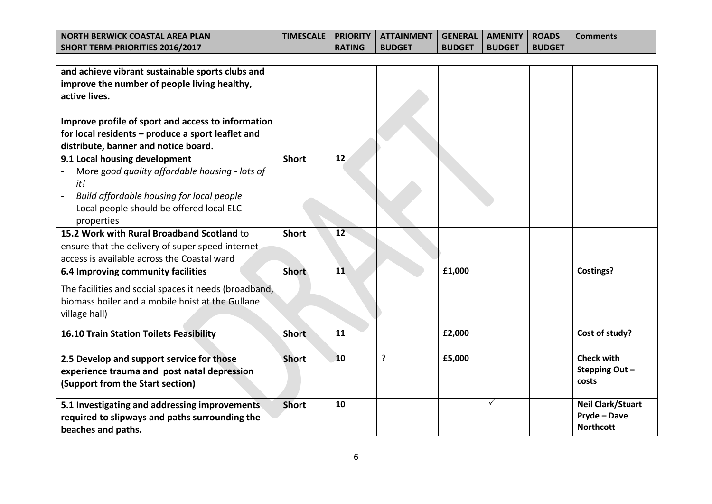| I NORTH BERWICK COASTAL AREA PLAN |               | ' TIMESCALE   PRIORITY   ATTAINMENT   GENERAL   AMENITY   ROADS ' |               |               |               | ' Comments' |
|-----------------------------------|---------------|-------------------------------------------------------------------|---------------|---------------|---------------|-------------|
| SHORT TERM-PRIORITIES 2016/2017   | <b>RATING</b> | <b>BUDGET</b>                                                     | <b>BUDGET</b> | <b>BUDGET</b> | <b>BUDGET</b> |             |

| and achieve vibrant sustainable sports clubs and<br>improve the number of people living healthy,<br>active lives.<br>Improve profile of sport and access to information<br>for local residents - produce a sport leaflet and<br>distribute, banner and notice board. |              |    |   |        |   |                                                              |
|----------------------------------------------------------------------------------------------------------------------------------------------------------------------------------------------------------------------------------------------------------------------|--------------|----|---|--------|---|--------------------------------------------------------------|
| 9.1 Local housing development<br>More good quality affordable housing - lots of<br>it!<br>Build affordable housing for local people<br>Local people should be offered local ELC<br>properties                                                                        | <b>Short</b> | 12 |   |        |   |                                                              |
| 15.2 Work with Rural Broadband Scotland to<br>ensure that the delivery of super speed internet<br>access is available across the Coastal ward                                                                                                                        | <b>Short</b> | 12 |   |        |   |                                                              |
| 6.4 Improving community facilities<br>The facilities and social spaces it needs (broadband,<br>biomass boiler and a mobile hoist at the Gullane<br>village hall)                                                                                                     | <b>Short</b> | 11 |   | £1,000 |   | Costings?                                                    |
| <b>16.10 Train Station Toilets Feasibility</b>                                                                                                                                                                                                                       | <b>Short</b> | 11 |   | £2,000 |   | Cost of study?                                               |
| 2.5 Develop and support service for those<br>experience trauma and post natal depression<br>(Support from the Start section)                                                                                                                                         | <b>Short</b> | 10 | ? | £5,000 |   | <b>Check with</b><br>Stepping Out-<br>costs                  |
| 5.1 Investigating and addressing improvements<br>required to slipways and paths surrounding the<br>beaches and paths.                                                                                                                                                | <b>Short</b> | 10 |   |        | ✓ | <b>Neil Clark/Stuart</b><br>Pryde - Dave<br><b>Northcott</b> |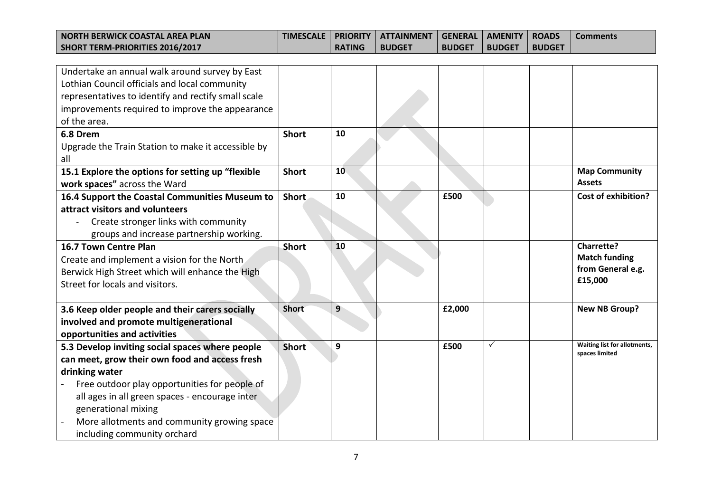| I NORTH BERWICK COASTAL AREA PLAN |               |               |               |               |               | i Comments. |
|-----------------------------------|---------------|---------------|---------------|---------------|---------------|-------------|
| SHORT TERM-PRIORITIES 2016/2017   | <b>RATING</b> | <b>BUDGET</b> | <b>BUDGET</b> | <b>BUDGET</b> | <b>BUDGET</b> |             |

| Undertake an annual walk around survey by East      |              |    |        |              |                              |
|-----------------------------------------------------|--------------|----|--------|--------------|------------------------------|
| Lothian Council officials and local community       |              |    |        |              |                              |
| representatives to identify and rectify small scale |              |    |        |              |                              |
| improvements required to improve the appearance     |              |    |        |              |                              |
| of the area.                                        |              |    |        |              |                              |
| 6.8 Drem                                            | <b>Short</b> | 10 |        |              |                              |
| Upgrade the Train Station to make it accessible by  |              |    |        |              |                              |
| all                                                 |              |    |        |              |                              |
| 15.1 Explore the options for setting up "flexible   | <b>Short</b> | 10 |        |              | <b>Map Community</b>         |
| work spaces" across the Ward                        |              |    |        |              | <b>Assets</b>                |
| 16.4 Support the Coastal Communities Museum to      | Short        | 10 | £500   |              | <b>Cost of exhibition?</b>   |
| attract visitors and volunteers                     |              |    |        |              |                              |
| Create stronger links with community                |              |    |        |              |                              |
| groups and increase partnership working.            |              |    |        |              |                              |
| 16.7 Town Centre Plan                               | <b>Short</b> | 10 |        |              | <b>Charrette?</b>            |
| Create and implement a vision for the North         |              |    |        |              | <b>Match funding</b>         |
| Berwick High Street which will enhance the High     |              |    |        |              | from General e.g.            |
| Street for locals and visitors.                     |              |    |        |              | £15,000                      |
|                                                     |              |    |        |              |                              |
| 3.6 Keep older people and their carers socially     | <b>Short</b> | 9  | £2,000 |              | <b>New NB Group?</b>         |
| involved and promote multigenerational              |              |    |        |              |                              |
| opportunities and activities                        |              |    |        |              |                              |
| 5.3 Develop inviting social spaces where people     | <b>Short</b> | 9  | £500   | $\checkmark$ | Waiting list for allotments, |
| can meet, grow their own food and access fresh      |              |    |        |              | spaces limited               |
| drinking water                                      |              |    |        |              |                              |
| Free outdoor play opportunities for people of       |              |    |        |              |                              |
| all ages in all green spaces - encourage inter      |              |    |        |              |                              |
| generational mixing                                 |              |    |        |              |                              |
| More allotments and community growing space         |              |    |        |              |                              |
| including community orchard                         |              |    |        |              |                              |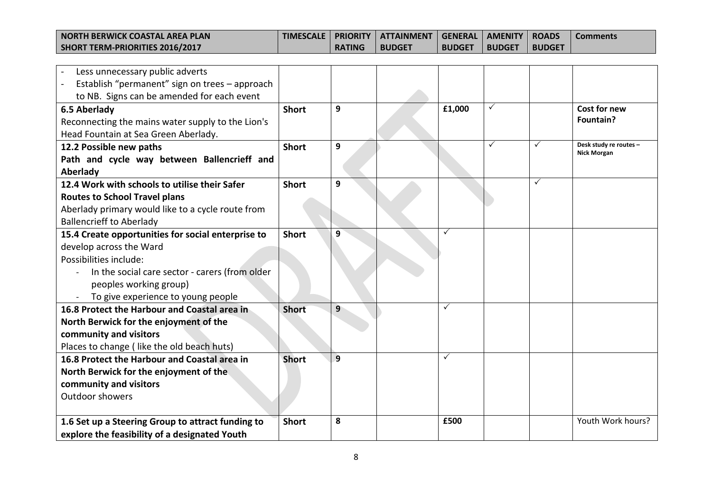| I NORTH BERWICK COASTAL AREA PLAN | <b>TIMESCALE</b> |               | PRIORITY   ATTAINMENT   GENERAL   AMENITY   ROADS |               |               |               | <b>Comments</b> |
|-----------------------------------|------------------|---------------|---------------------------------------------------|---------------|---------------|---------------|-----------------|
| SHORT TERM-PRIORITIES 2016/2017   |                  | <b>RATING</b> | <b>BUDGET</b>                                     | <b>BUDGET</b> | <b>BUDGET</b> | <b>BUDGET</b> |                 |

| Less unnecessary public adverts<br>Establish "permanent" sign on trees - approach |              |   |              |   |              |                                              |
|-----------------------------------------------------------------------------------|--------------|---|--------------|---|--------------|----------------------------------------------|
| to NB. Signs can be amended for each event                                        |              |   |              |   |              |                                              |
| 6.5 Aberlady                                                                      | <b>Short</b> | 9 | £1,000       | ✓ |              | Cost for new                                 |
| Reconnecting the mains water supply to the Lion's                                 |              |   |              |   |              | Fountain?                                    |
| Head Fountain at Sea Green Aberlady.                                              |              |   |              |   |              |                                              |
| 12.2 Possible new paths                                                           | <b>Short</b> | 9 |              | ✓ | $\checkmark$ | Desk study re routes -<br><b>Nick Morgan</b> |
| Path and cycle way between Ballencrieff and                                       |              |   |              |   |              |                                              |
| Aberlady                                                                          |              |   |              |   |              |                                              |
| 12.4 Work with schools to utilise their Safer                                     | <b>Short</b> | 9 |              |   | $\checkmark$ |                                              |
| <b>Routes to School Travel plans</b>                                              |              |   |              |   |              |                                              |
| Aberlady primary would like to a cycle route from                                 |              |   |              |   |              |                                              |
| <b>Ballencrieff to Aberlady</b>                                                   |              |   |              |   |              |                                              |
| 15.4 Create opportunities for social enterprise to                                | <b>Short</b> | 9 | $\checkmark$ |   |              |                                              |
| develop across the Ward                                                           |              |   |              |   |              |                                              |
| Possibilities include:                                                            |              |   |              |   |              |                                              |
| In the social care sector - carers (from older                                    |              |   |              |   |              |                                              |
| peoples working group)                                                            |              |   |              |   |              |                                              |
| To give experience to young people                                                |              |   |              |   |              |                                              |
| 16.8 Protect the Harbour and Coastal area in                                      | <b>Short</b> | 9 | $\checkmark$ |   |              |                                              |
| North Berwick for the enjoyment of the                                            |              |   |              |   |              |                                              |
| community and visitors                                                            |              |   |              |   |              |                                              |
| Places to change (like the old beach huts)                                        |              |   |              |   |              |                                              |
| 16.8 Protect the Harbour and Coastal area in                                      | <b>Short</b> | 9 | $\checkmark$ |   |              |                                              |
| North Berwick for the enjoyment of the                                            |              |   |              |   |              |                                              |
| community and visitors                                                            |              |   |              |   |              |                                              |
| <b>Outdoor showers</b>                                                            |              |   |              |   |              |                                              |
|                                                                                   |              |   |              |   |              |                                              |
| 1.6 Set up a Steering Group to attract funding to                                 | <b>Short</b> | 8 | £500         |   |              | Youth Work hours?                            |
| explore the feasibility of a designated Youth                                     |              |   |              |   |              |                                              |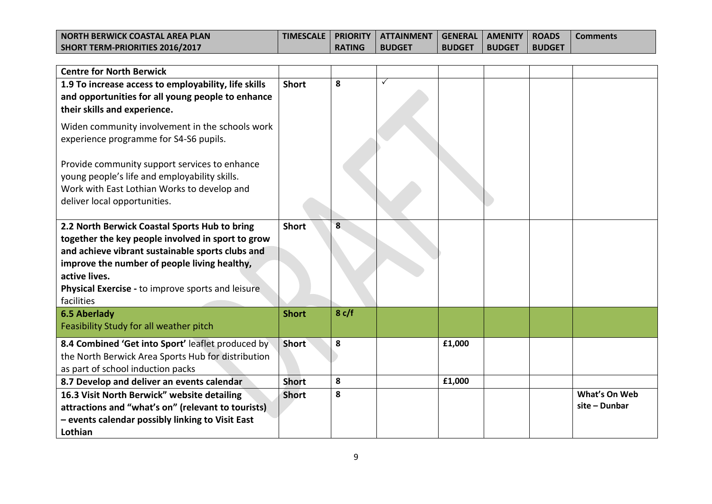| <b>NORTH BERWICK COASTAL AREA PLAN</b> |               | TIMESCALE   PRIORITY   ATTAINMENT   GENERAL   AMENITY   ROADS |               |               |               | <b>Comments</b> |
|----------------------------------------|---------------|---------------------------------------------------------------|---------------|---------------|---------------|-----------------|
| SHORT TERM-PRIORITIES 2016/2017        | <b>RATING</b> | <b>BUDGET</b>                                                 | <b>BUDGET</b> | <b>BUDGET</b> | <b>BUDGET</b> |                 |

| <b>Centre for North Berwick</b>                                                                                                                                                                                                                                                                                                                                                                                         |                              |           |   |        |  |                                |
|-------------------------------------------------------------------------------------------------------------------------------------------------------------------------------------------------------------------------------------------------------------------------------------------------------------------------------------------------------------------------------------------------------------------------|------------------------------|-----------|---|--------|--|--------------------------------|
| 1.9 To increase access to employability, life skills<br>and opportunities for all young people to enhance<br>their skills and experience.<br>Widen community involvement in the schools work<br>experience programme for S4-S6 pupils.<br>Provide community support services to enhance<br>young people's life and employability skills.<br>Work with East Lothian Works to develop and<br>deliver local opportunities. | <b>Short</b>                 | 8         | ✓ |        |  |                                |
| 2.2 North Berwick Coastal Sports Hub to bring<br>together the key people involved in sport to grow<br>and achieve vibrant sustainable sports clubs and<br>improve the number of people living healthy,<br>active lives.<br>Physical Exercise - to improve sports and leisure<br>facilities<br><b>6.5 Aberlady</b>                                                                                                       | <b>Short</b><br><b>Short</b> | 8<br>8c/f |   |        |  |                                |
| Feasibility Study for all weather pitch                                                                                                                                                                                                                                                                                                                                                                                 |                              |           |   |        |  |                                |
| 8.4 Combined 'Get into Sport' leaflet produced by<br>the North Berwick Area Sports Hub for distribution<br>as part of school induction packs                                                                                                                                                                                                                                                                            | <b>Short</b>                 | 8         |   | £1,000 |  |                                |
| 8.7 Develop and deliver an events calendar                                                                                                                                                                                                                                                                                                                                                                              | <b>Short</b>                 | 8         |   | £1,000 |  |                                |
| 16.3 Visit North Berwick" website detailing<br>attractions and "what's on" (relevant to tourists)<br>- events calendar possibly linking to Visit East<br>Lothian                                                                                                                                                                                                                                                        | <b>Short</b>                 | 8         |   |        |  | What's On Web<br>site - Dunbar |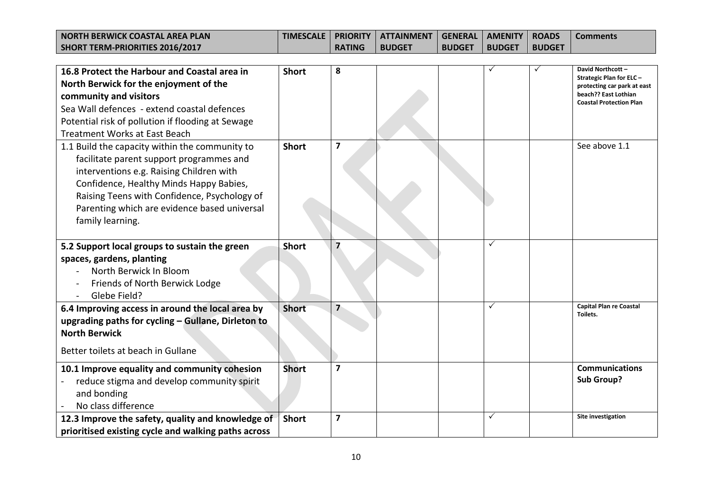| I NORTH BERWICK COASTAL AREA PLAN | <b>TIMESCALE</b> |               | ∣ PRIORITY ∣ ATTAINMENT ∣ GENERAL ∣ AMENITY ∣ ROADS ∣ |               |               |               | <b>Comments</b> |
|-----------------------------------|------------------|---------------|-------------------------------------------------------|---------------|---------------|---------------|-----------------|
| SHORT TERM-PRIORITIES 2016/2017   |                  | <b>RATING</b> | <b>BUDGET</b>                                         | <b>BUDGET</b> | <b>BUDGET</b> | <b>BUDGET</b> |                 |

| 16.8 Protect the Harbour and Coastal area in<br>North Berwick for the enjoyment of the<br>community and visitors<br>Sea Wall defences - extend coastal defences<br>Potential risk of pollution if flooding at Sewage<br><b>Treatment Works at East Beach</b>                                          | <b>Short</b> | 8              |   | David Northcott -<br><b>Strategic Plan for ELC-</b><br>protecting car park at east<br>beach?? East Lothian<br><b>Coastal Protection Plan</b> |
|-------------------------------------------------------------------------------------------------------------------------------------------------------------------------------------------------------------------------------------------------------------------------------------------------------|--------------|----------------|---|----------------------------------------------------------------------------------------------------------------------------------------------|
| 1.1 Build the capacity within the community to<br>facilitate parent support programmes and<br>interventions e.g. Raising Children with<br>Confidence, Healthy Minds Happy Babies,<br>Raising Teens with Confidence, Psychology of<br>Parenting which are evidence based universal<br>family learning. | <b>Short</b> | 7              |   | See above 1.1                                                                                                                                |
| 5.2 Support local groups to sustain the green<br>spaces, gardens, planting<br>North Berwick In Bloom<br>Friends of North Berwick Lodge<br>Glebe Field?                                                                                                                                                | <b>Short</b> | 7              | ✓ |                                                                                                                                              |
| 6.4 Improving access in around the local area by<br>upgrading paths for cycling - Gullane, Dirleton to<br><b>North Berwick</b><br>Better toilets at beach in Gullane                                                                                                                                  | <b>Short</b> | 7              | ✓ | <b>Capital Plan re Coastal</b><br>Toilets.                                                                                                   |
| 10.1 Improve equality and community cohesion<br>reduce stigma and develop community spirit<br>and bonding<br>No class difference                                                                                                                                                                      | <b>Short</b> | $\overline{7}$ |   | <b>Communications</b><br><b>Sub Group?</b>                                                                                                   |
| 12.3 Improve the safety, quality and knowledge of<br>prioritised existing cycle and walking paths across                                                                                                                                                                                              | <b>Short</b> | 7              | ✓ | Site investigation                                                                                                                           |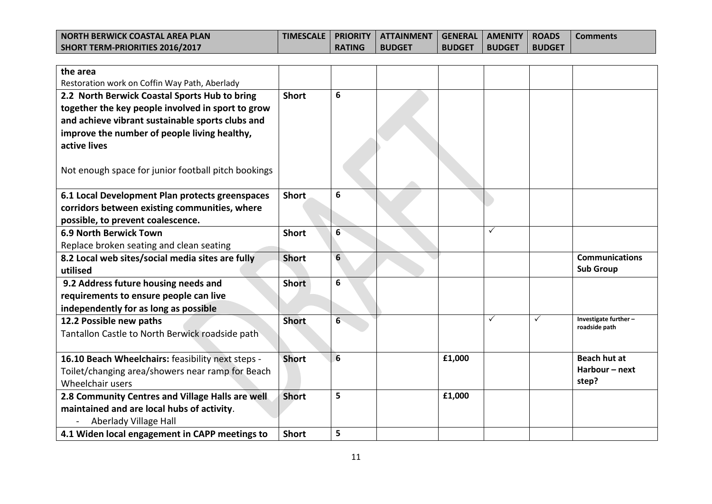| <b>NORTH BERWICK COASTAL AREA PLAN</b> | <b>TIMESCALE</b> |               | PRIORITY   ATTAINMENT   GENERAL   AMENITY   ROADS |               |               |               | <b>Comments</b> |
|----------------------------------------|------------------|---------------|---------------------------------------------------|---------------|---------------|---------------|-----------------|
| SHORT TERM-PRIORITIES 2016/2017        |                  | <b>RATING</b> | <b>BUDGET</b>                                     | <b>BUDGET</b> | <b>BUDGET</b> | <b>BUDGET</b> |                 |

| the area<br>Restoration work on Coffin Way Path, Aberlady                                                                                                                                                                                                                     |              |                  |        |   |   |                                                |
|-------------------------------------------------------------------------------------------------------------------------------------------------------------------------------------------------------------------------------------------------------------------------------|--------------|------------------|--------|---|---|------------------------------------------------|
| 2.2 North Berwick Coastal Sports Hub to bring<br>together the key people involved in sport to grow<br>and achieve vibrant sustainable sports clubs and<br>improve the number of people living healthy,<br>active lives<br>Not enough space for junior football pitch bookings | <b>Short</b> | 6                |        |   |   |                                                |
| 6.1 Local Development Plan protects greenspaces<br>corridors between existing communities, where<br>possible, to prevent coalescence.                                                                                                                                         | <b>Short</b> | 6                |        |   |   |                                                |
| <b>6.9 North Berwick Town</b><br>Replace broken seating and clean seating                                                                                                                                                                                                     | <b>Short</b> | $6 \overline{6}$ |        | ✓ |   |                                                |
| 8.2 Local web sites/social media sites are fully<br>utilised                                                                                                                                                                                                                  | <b>Short</b> | 6                |        |   |   | <b>Communications</b><br><b>Sub Group</b>      |
|                                                                                                                                                                                                                                                                               |              |                  |        |   |   |                                                |
| 9.2 Address future housing needs and<br>requirements to ensure people can live<br>independently for as long as possible                                                                                                                                                       | <b>Short</b> | 6                |        |   |   |                                                |
| 12.2 Possible new paths<br>Tantallon Castle to North Berwick roadside path                                                                                                                                                                                                    | <b>Short</b> | $6\phantom{1}$   |        | ✓ | ✓ | Investigate further -<br>roadside path         |
| 16.10 Beach Wheelchairs: feasibility next steps -<br>Toilet/changing area/showers near ramp for Beach<br>Wheelchair users                                                                                                                                                     | <b>Short</b> | $6\overline{6}$  | £1,000 |   |   | <b>Beach hut at</b><br>Harbour - next<br>step? |
| 2.8 Community Centres and Village Halls are well<br>maintained and are local hubs of activity.<br>Aberlady Village Hall                                                                                                                                                       | <b>Short</b> | 5                | £1,000 |   |   |                                                |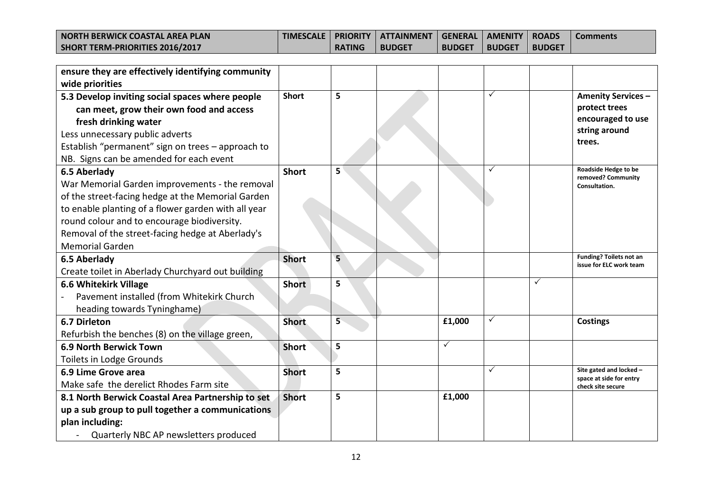| I NORTH BERWICK COASTAL AREA PLAN |               | ' TIMESCALE   PRIORITY   ATTAINMENT   GENERAL   AMENITY   ROADS ' |               |               |               | ' Comments' |
|-----------------------------------|---------------|-------------------------------------------------------------------|---------------|---------------|---------------|-------------|
| SHORT TERM-PRIORITIES 2016/2017   | <b>RATING</b> | <b>BUDGET</b>                                                     | <b>BUDGET</b> | <b>BUDGET</b> | <b>BUDGET</b> |             |

| ensure they are effectively identifying community   |              |   |        |   |   |                                              |
|-----------------------------------------------------|--------------|---|--------|---|---|----------------------------------------------|
| wide priorities                                     |              |   |        |   |   |                                              |
| 5.3 Develop inviting social spaces where people     | <b>Short</b> | 5 |        | ✓ |   | <b>Amenity Services -</b>                    |
| can meet, grow their own food and access            |              |   |        |   |   | protect trees                                |
| fresh drinking water                                |              |   |        |   |   | encouraged to use                            |
| Less unnecessary public adverts                     |              |   |        |   |   | string around                                |
| Establish "permanent" sign on trees - approach to   |              |   |        |   |   | trees.                                       |
| NB. Signs can be amended for each event             |              |   |        |   |   |                                              |
| 6.5 Aberlady                                        | <b>Short</b> | 5 |        | ✓ |   | Roadside Hedge to be<br>removed? Community   |
| War Memorial Garden improvements - the removal      |              |   |        |   |   | Consultation.                                |
| of the street-facing hedge at the Memorial Garden   |              |   |        |   |   |                                              |
| to enable planting of a flower garden with all year |              |   |        |   |   |                                              |
| round colour and to encourage biodiversity.         |              |   |        |   |   |                                              |
| Removal of the street-facing hedge at Aberlady's    |              |   |        |   |   |                                              |
| <b>Memorial Garden</b>                              |              |   |        |   |   |                                              |
|                                                     |              |   |        |   |   |                                              |
| 6.5 Aberlady                                        | <b>Short</b> | 5 |        |   |   | <b>Funding? Toilets not an</b>               |
| Create toilet in Aberlady Churchyard out building   |              |   |        |   |   | issue for ELC work team                      |
| <b>6.6 Whitekirk Village</b>                        | <b>Short</b> | 5 |        |   | ✓ |                                              |
| Pavement installed (from Whitekirk Church           |              |   |        |   |   |                                              |
| heading towards Tyninghame)                         |              |   |        |   |   |                                              |
| 6.7 Dirleton                                        | <b>Short</b> | 5 | £1,000 | ✓ |   | <b>Costings</b>                              |
| Refurbish the benches (8) on the village green,     |              |   |        |   |   |                                              |
| <b>6.9 North Berwick Town</b>                       | <b>Short</b> | 5 | ✓      |   |   |                                              |
| Toilets in Lodge Grounds                            |              |   |        |   |   |                                              |
| 6.9 Lime Grove area                                 | <b>Short</b> | 5 |        | ✓ |   | Site gated and locked -                      |
| Make safe the derelict Rhodes Farm site             |              |   |        |   |   | space at side for entry<br>check site secure |
| 8.1 North Berwick Coastal Area Partnership to set   | <b>Short</b> | 5 | £1,000 |   |   |                                              |
| up a sub group to pull together a communications    |              |   |        |   |   |                                              |
| plan including:                                     |              |   |        |   |   |                                              |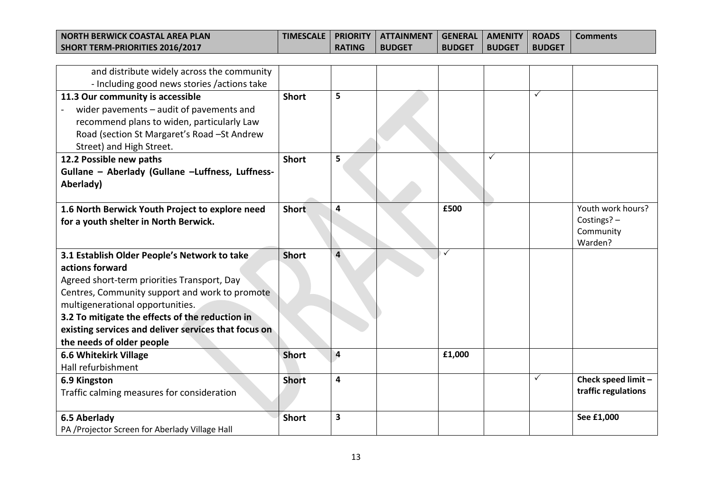| I NORTH BERWICK COASTAL AREA PLAN | <b>TIMESCALE</b> |               | PRIORITY   ATTAINMENT   GENERAL   AMENITY   ROADS |               |               |               | <b>Comments</b> |
|-----------------------------------|------------------|---------------|---------------------------------------------------|---------------|---------------|---------------|-----------------|
| SHORT TERM-PRIORITIES 2016/2017   |                  | <b>RATING</b> | <b>BUDGET</b>                                     | <b>BUDGET</b> | <b>BUDGET</b> | <b>BUDGET</b> |                 |

| and distribute widely across the community<br>- Including good news stories /actions take                                                                                                                                                                                                                                                    |              |                         |        |   |              |                                                          |
|----------------------------------------------------------------------------------------------------------------------------------------------------------------------------------------------------------------------------------------------------------------------------------------------------------------------------------------------|--------------|-------------------------|--------|---|--------------|----------------------------------------------------------|
| 11.3 Our community is accessible<br>wider pavements - audit of pavements and<br>recommend plans to widen, particularly Law<br>Road (section St Margaret's Road - St Andrew<br>Street) and High Street.                                                                                                                                       | <b>Short</b> | 5                       |        |   | $\checkmark$ |                                                          |
| 12.2 Possible new paths<br>Gullane - Aberlady (Gullane -Luffness, Luffness-<br>Aberlady)                                                                                                                                                                                                                                                     | <b>Short</b> | 5                       |        | ✓ |              |                                                          |
| 1.6 North Berwick Youth Project to explore need<br>for a youth shelter in North Berwick.                                                                                                                                                                                                                                                     | <b>Short</b> | 4                       | £500   |   |              | Youth work hours?<br>Costings? -<br>Community<br>Warden? |
| 3.1 Establish Older People's Network to take<br>actions forward<br>Agreed short-term priorities Transport, Day<br>Centres, Community support and work to promote<br>multigenerational opportunities.<br>3.2 To mitigate the effects of the reduction in<br>existing services and deliver services that focus on<br>the needs of older people | <b>Short</b> | 4                       | ✓      |   |              |                                                          |
| <b>6.6 Whitekirk Village</b><br>Hall refurbishment                                                                                                                                                                                                                                                                                           | <b>Short</b> | $\overline{\mathbf{4}}$ | £1,000 |   |              |                                                          |
| 6.9 Kingston<br>Traffic calming measures for consideration                                                                                                                                                                                                                                                                                   | <b>Short</b> | 4                       |        |   | $\checkmark$ | Check speed limit -<br>traffic regulations               |
| 6.5 Aberlady<br>PA /Projector Screen for Aberlady Village Hall                                                                                                                                                                                                                                                                               | <b>Short</b> | 3                       |        |   |              | See £1,000                                               |